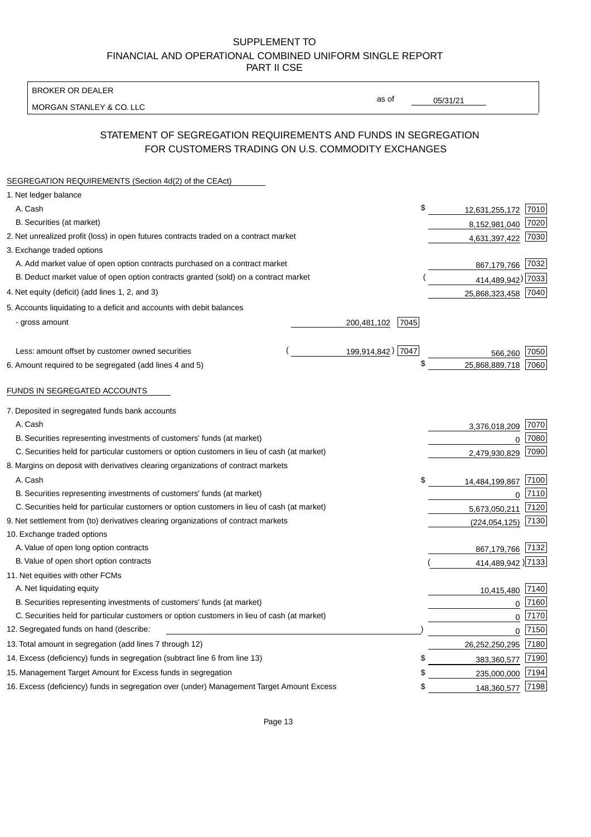BROKER OR DEALER

MORGAN STANLEY & CO. LLC

05/31/21

as of

# STATEMENT OF SEGREGATION REQUIREMENTS AND FUNDS IN SEGREGATION FOR CUSTOMERS TRADING ON U.S. COMMODITY EXCHANGES

| SEGREGATION REQUIREMENTS (Section 4d(2) of the CEAct)                                       |                     |                     |      |
|---------------------------------------------------------------------------------------------|---------------------|---------------------|------|
| 1. Net ledger balance                                                                       |                     |                     |      |
| A. Cash                                                                                     | \$                  | 12,631,255,172      | 7010 |
| B. Securities (at market)                                                                   |                     | 8,152,981,040       | 7020 |
| 2. Net unrealized profit (loss) in open futures contracts traded on a contract market       |                     | 4,631,397,422       | 7030 |
| 3. Exchange traded options                                                                  |                     |                     |      |
| A. Add market value of open option contracts purchased on a contract market                 |                     | 867,179,766         | 7032 |
| B. Deduct market value of open option contracts granted (sold) on a contract market         |                     | 414,489,942) 7033   |      |
| 4. Net equity (deficit) (add lines 1, 2, and 3)                                             |                     | 25,868,323,458 7040 |      |
| 5. Accounts liquidating to a deficit and accounts with debit balances                       |                     |                     |      |
| - gross amount                                                                              | 200,481,102<br>7045 |                     |      |
|                                                                                             |                     |                     |      |
| Less: amount offset by customer owned securities                                            | 199,914,842) 7047   | 566,260             | 7050 |
| 6. Amount required to be segregated (add lines 4 and 5)                                     | \$                  | 25,868,889,718      | 7060 |
|                                                                                             |                     |                     |      |
| FUNDS IN SEGREGATED ACCOUNTS                                                                |                     |                     |      |
| 7. Deposited in segregated funds bank accounts                                              |                     |                     |      |
| A. Cash                                                                                     |                     | 3,376,018,209       | 7070 |
| B. Securities representing investments of customers' funds (at market)                      |                     | $\Omega$            | 7080 |
| C. Securities held for particular customers or option customers in lieu of cash (at market) |                     | 2,479,930,829       | 7090 |
| 8. Margins on deposit with derivatives clearing organizations of contract markets           |                     |                     |      |
| A. Cash                                                                                     | \$                  | 14,484,199,867      | 7100 |
| B. Securities representing investments of customers' funds (at market)                      |                     | $\mathbf{0}$        | 7110 |
| C. Securities held for particular customers or option customers in lieu of cash (at market) |                     | 5,673,050,211       | 7120 |
| 9. Net settlement from (to) derivatives clearing organizations of contract markets          |                     | (224, 054, 125)     | 7130 |
| 10. Exchange traded options                                                                 |                     |                     |      |
| A. Value of open long option contracts                                                      |                     | 867,179,766         | 7132 |
| B. Value of open short option contracts                                                     |                     | 414,489,942 )7133   |      |
| 11. Net equities with other FCMs                                                            |                     |                     |      |
| A. Net liquidating equity                                                                   |                     | 10,415,480          | 7140 |
| B. Securities representing investments of customers' funds (at market)                      |                     | $\Omega$            | 7160 |
| C. Securities held for particular customers or option customers in lieu of cash (at market) |                     | $\mathbf 0$         | 7170 |
| 12. Segregated funds on hand (describe:                                                     |                     | $\mathbf{0}$        | 7150 |
| 13. Total amount in segregation (add lines 7 through 12)                                    |                     | 26,252,250,295      | 7180 |
| 14. Excess (deficiency) funds in segregation (subtract line 6 from line 13)                 | \$                  | 383,360,577         | 7190 |
| 15. Management Target Amount for Excess funds in segregation                                | \$                  | 235,000,000         | 7194 |
| 16. Excess (deficiency) funds in segregation over (under) Management Target Amount Excess   | \$                  | 148,360,577         | 7198 |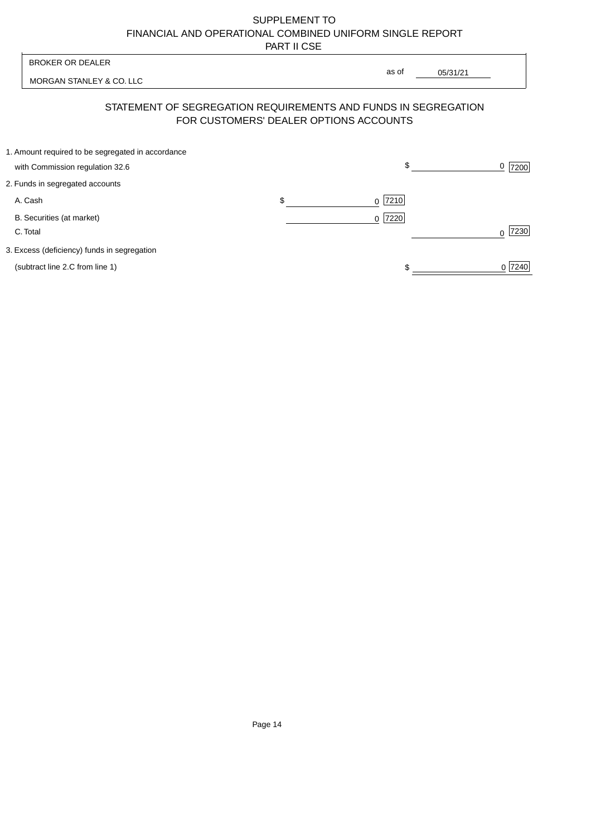| <b>BROKER OR DEALER</b>                                                                                  | as of                      |          |                  |
|----------------------------------------------------------------------------------------------------------|----------------------------|----------|------------------|
| MORGAN STANLEY & CO. LLC                                                                                 |                            | 05/31/21 |                  |
| STATEMENT OF SEGREGATION REQUIREMENTS AND FUNDS IN SEGREGATION<br>FOR CUSTOMERS' DEALER OPTIONS ACCOUNTS |                            |          |                  |
| 1. Amount required to be segregated in accordance<br>with Commission regulation 32.6                     |                            | \$       | 0<br>7200        |
| 2. Funds in segregated accounts                                                                          |                            |          |                  |
| A. Cash                                                                                                  | \$<br>7210<br><sup>0</sup> |          |                  |
| B. Securities (at market)<br>C. Total                                                                    | $0$  7220                  |          | 7230<br>$\Omega$ |
| 3. Excess (deficiency) funds in segregation                                                              |                            |          |                  |
| (subtract line 2.C from line 1)                                                                          |                            |          | 0 7240           |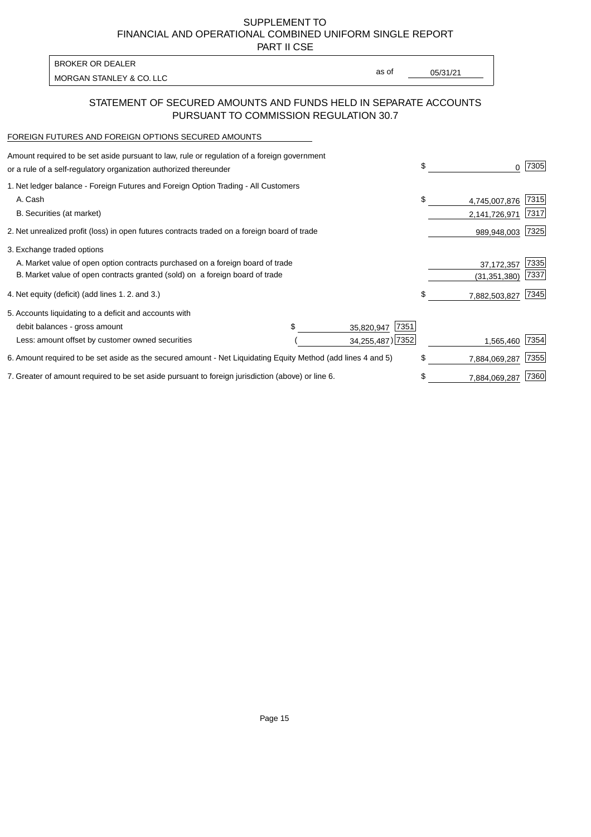PART II CSE

MORGAN STANLEY & CO. LLC and the contract of the contract of the contract of the contract of the contract of the contract of the contract of the contract of the contract of the contract of the contract of the contract of t BROKER OR DEALER

as of

### STATEMENT OF SECURED AMOUNTS AND FUNDS HELD IN SEPARATE ACCOUNTS PURSUANT TO COMMISSION REGULATION 30.7

#### FOREIGN FUTURES AND FOREIGN OPTIONS SECURED AMOUNTS

| Amount required to be set aside pursuant to law, rule or regulation of a foreign government<br>or a rule of a self-regulatory organization authorized thereunder |  |                    | \$ | 0              | 7305 |
|------------------------------------------------------------------------------------------------------------------------------------------------------------------|--|--------------------|----|----------------|------|
| 1. Net ledger balance - Foreign Futures and Foreign Option Trading - All Customers                                                                               |  |                    |    |                |      |
| A. Cash                                                                                                                                                          |  |                    | \$ | 4,745,007,876  | 7315 |
| B. Securities (at market)                                                                                                                                        |  |                    |    | 2,141,726,971  | 7317 |
| 2. Net unrealized profit (loss) in open futures contracts traded on a foreign board of trade                                                                     |  |                    |    | 989,948,003    | 7325 |
| 3. Exchange traded options                                                                                                                                       |  |                    |    |                |      |
| A. Market value of open option contracts purchased on a foreign board of trade                                                                                   |  |                    |    | 37, 172, 357   | 7335 |
| B. Market value of open contracts granted (sold) on a foreign board of trade                                                                                     |  |                    |    | (31, 351, 380) | 7337 |
| 4. Net equity (deficit) (add lines 1.2. and 3.)                                                                                                                  |  |                    | \$ | 7,882,503,827  | 7345 |
| 5. Accounts liquidating to a deficit and accounts with                                                                                                           |  |                    |    |                |      |
| debit balances - gross amount                                                                                                                                    |  | 7351<br>35,820,947 |    |                |      |
| Less: amount offset by customer owned securities                                                                                                                 |  | 34,255,487) 7352   |    | 1,565,460      | 7354 |
| 6. Amount required to be set aside as the secured amount - Net Liquidating Equity Method (add lines 4 and 5)                                                     |  |                    | \$ | 7,884,069,287  | 7355 |
| 7. Greater of amount required to be set aside pursuant to foreign jurisdiction (above) or line 6.                                                                |  |                    | \$ | 7,884,069,287  | 7360 |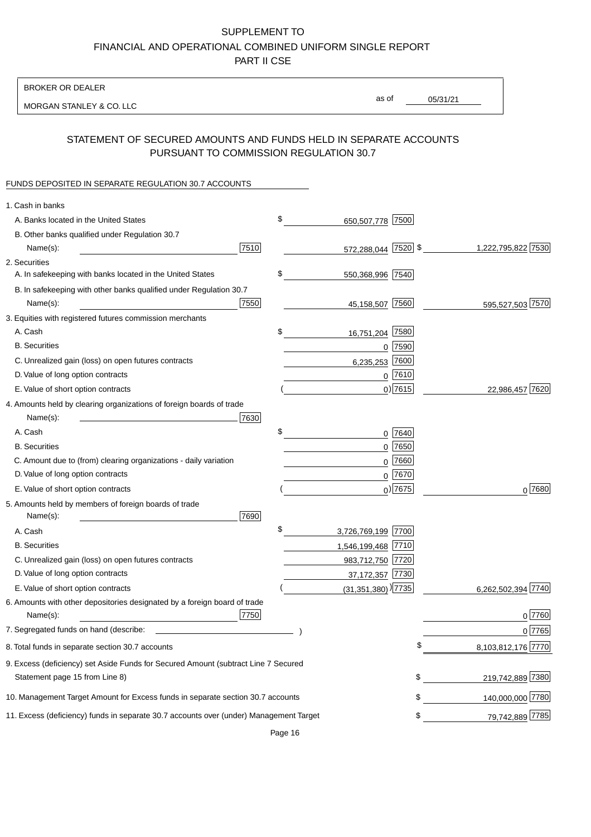BROKER OR DEALER

MORGAN STANLEY & CO. LLC

05/31/21 as of

## STATEMENT OF SECURED AMOUNTS AND FUNDS HELD IN SEPARATE ACCOUNTS PURSUANT TO COMMISSION REGULATION 30.7

### FUNDS DEPOSITED IN SEPARATE REGULATION 30.7 ACCOUNTS

| 1. Cash in banks                                                                       |      |                                    |             |                    |
|----------------------------------------------------------------------------------------|------|------------------------------------|-------------|--------------------|
| A. Banks located in the United States                                                  | \$   | 650,507,778                        | 7500        |                    |
| B. Other banks qualified under Regulation 30.7                                         |      |                                    |             |                    |
| Name(s):                                                                               | 7510 | 572,288,044 7520 \$                |             | 1,222,795,822 7530 |
| 2. Securities                                                                          |      |                                    |             |                    |
| A. In safekeeping with banks located in the United States                              | \$   | 550,368,996 7540                   |             |                    |
| B. In safekeeping with other banks qualified under Regulation 30.7                     |      |                                    |             |                    |
| Name(s):                                                                               | 7550 | 45,158,507                         | 7560        | 595,527,503 7570   |
| 3. Equities with registered futures commission merchants                               |      |                                    |             |                    |
| A. Cash                                                                                | \$   | 16,751,204                         | 7580        |                    |
| <b>B.</b> Securities                                                                   |      |                                    | $0$ 7590    |                    |
| C. Unrealized gain (loss) on open futures contracts                                    |      | 6,235,253                          | 7600        |                    |
| D. Value of long option contracts                                                      |      |                                    | $0$ 7610    |                    |
| E. Value of short option contracts                                                     |      |                                    | $0)$ 7615   | 22,986,457 7620    |
| 4. Amounts held by clearing organizations of foreign boards of trade                   |      |                                    |             |                    |
| Name(s):                                                                               | 7630 |                                    |             |                    |
| A. Cash                                                                                | \$   |                                    | 0 7640      |                    |
| <b>B.</b> Securities                                                                   |      |                                    | $0$ 7650    |                    |
| C. Amount due to (from) clearing organizations - daily variation                       |      | 0                                  | 7660        |                    |
| D. Value of long option contracts                                                      |      |                                    | 0 7670      |                    |
| E. Value of short option contracts                                                     |      |                                    | $_0$ ) 7675 | 0 7680             |
| 5. Amounts held by members of foreign boards of trade<br>Name(s):                      | 7690 |                                    |             |                    |
| A. Cash                                                                                | \$   | 3,726,769,199 7700                 |             |                    |
| <b>B.</b> Securities                                                                   |      | 1,546,199,468 7710                 |             |                    |
| C. Unrealized gain (loss) on open futures contracts                                    |      | 983,712,750 7720                   |             |                    |
| D. Value of long option contracts                                                      |      | 37,172,357 7730                    |             |                    |
| E. Value of short option contracts                                                     |      | $(31,351,380)$ <sup>)</sup> [7735] |             | 6,262,502,394 7740 |
| 6. Amounts with other depositories designated by a foreign board of trade<br>Name(s):  | 7750 |                                    |             | 0 7760             |
| 7. Segregated funds on hand (describe:                                                 |      |                                    |             | 0 7765             |
| 8. Total funds in separate section 30.7 accounts                                       |      |                                    |             | 8,103,812,176 7770 |
| 9. Excess (deficiency) set Aside Funds for Secured Amount (subtract Line 7 Secured     |      |                                    |             |                    |
| Statement page 15 from Line 8)                                                         |      |                                    | \$          | 219,742,889 7380   |
| 10. Management Target Amount for Excess funds in separate section 30.7 accounts        |      |                                    | \$          | 140,000,000 7780   |
| 11. Excess (deficiency) funds in separate 30.7 accounts over (under) Management Target |      |                                    | \$          | 79,742,889 7785    |

Page 16